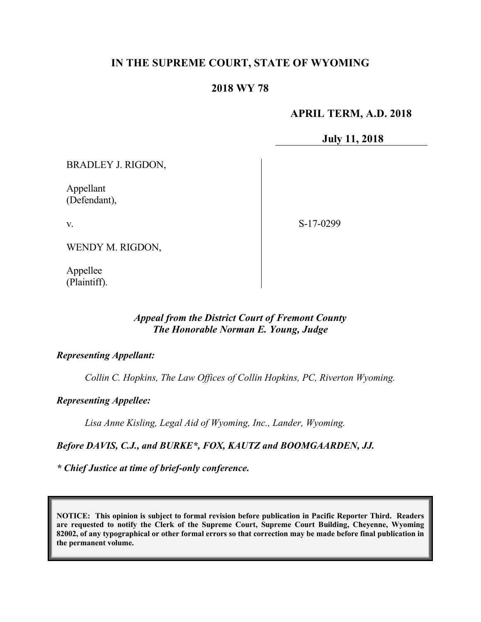# **IN THE SUPREME COURT, STATE OF WYOMING**

## **2018 WY 78**

# **APRIL TERM, A.D. 2018**

### **July 11, 2018**

BRADLEY J. RIGDON,

Appellant (Defendant),

v.

S-17-0299

WENDY M. RIGDON,

Appellee (Plaintiff).

#### *Appeal from the District Court of Fremont County The Honorable Norman E. Young, Judge*

### *Representing Appellant:*

*Collin C. Hopkins, The Law Offices of Collin Hopkins, PC, Riverton Wyoming.*

*Representing Appellee:*

*Lisa Anne Kisling, Legal Aid of Wyoming, Inc., Lander, Wyoming.*

*Before DAVIS, C.J., and BURKE\*, FOX, KAUTZ and BOOMGAARDEN, JJ.*

*\* Chief Justice at time of brief-only conference.*

**NOTICE: This opinion is subject to formal revision before publication in Pacific Reporter Third. Readers are requested to notify the Clerk of the Supreme Court, Supreme Court Building, Cheyenne, Wyoming 82002, of any typographical or other formal errors so that correction may be made before final publication in the permanent volume.**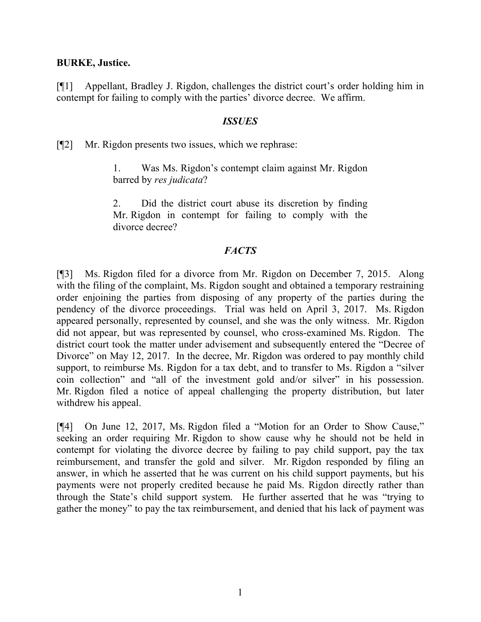#### **BURKE, Justice.**

[¶1] Appellant, Bradley J. Rigdon, challenges the district court's order holding him in contempt for failing to comply with the parties' divorce decree. We affirm.

### *ISSUES*

[¶2] Mr. Rigdon presents two issues, which we rephrase:

1. Was Ms. Rigdon's contempt claim against Mr. Rigdon barred by *res judicata*?

2. Did the district court abuse its discretion by finding Mr. Rigdon in contempt for failing to comply with the divorce decree?

### *FACTS*

[¶3] Ms. Rigdon filed for a divorce from Mr. Rigdon on December 7, 2015. Along with the filing of the complaint, Ms. Rigdon sought and obtained a temporary restraining order enjoining the parties from disposing of any property of the parties during the pendency of the divorce proceedings. Trial was held on April 3, 2017. Ms. Rigdon appeared personally, represented by counsel, and she was the only witness. Mr. Rigdon did not appear, but was represented by counsel, who cross-examined Ms. Rigdon. The district court took the matter under advisement and subsequently entered the "Decree of Divorce" on May 12, 2017. In the decree, Mr. Rigdon was ordered to pay monthly child support, to reimburse Ms. Rigdon for a tax debt, and to transfer to Ms. Rigdon a "silver coin collection" and "all of the investment gold and/or silver" in his possession. Mr. Rigdon filed a notice of appeal challenging the property distribution, but later withdrew his appeal.

[¶4] On June 12, 2017, Ms. Rigdon filed a "Motion for an Order to Show Cause," seeking an order requiring Mr. Rigdon to show cause why he should not be held in contempt for violating the divorce decree by failing to pay child support, pay the tax reimbursement, and transfer the gold and silver. Mr. Rigdon responded by filing an answer, in which he asserted that he was current on his child support payments, but his payments were not properly credited because he paid Ms. Rigdon directly rather than through the State's child support system. He further asserted that he was "trying to gather the money" to pay the tax reimbursement, and denied that his lack of payment was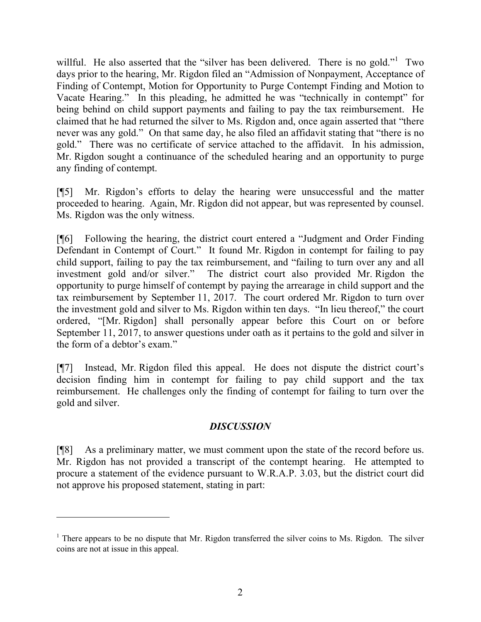willful. He also asserted that the "silver has been delivered. There is no gold."<sup>1</sup> Two days prior to the hearing, Mr. Rigdon filed an "Admission of Nonpayment, Acceptance of Finding of Contempt, Motion for Opportunity to Purge Contempt Finding and Motion to Vacate Hearing." In this pleading, he admitted he was "technically in contempt" for being behind on child support payments and failing to pay the tax reimbursement. He claimed that he had returned the silver to Ms. Rigdon and, once again asserted that "there never was any gold." On that same day, he also filed an affidavit stating that "there is no gold." There was no certificate of service attached to the affidavit. In his admission, Mr. Rigdon sought a continuance of the scheduled hearing and an opportunity to purge any finding of contempt.

[¶5] Mr. Rigdon's efforts to delay the hearing were unsuccessful and the matter proceeded to hearing. Again, Mr. Rigdon did not appear, but was represented by counsel. Ms. Rigdon was the only witness.

[¶6] Following the hearing, the district court entered a "Judgment and Order Finding Defendant in Contempt of Court." It found Mr. Rigdon in contempt for failing to pay child support, failing to pay the tax reimbursement, and "failing to turn over any and all investment gold and/or silver." The district court also provided Mr. Rigdon the opportunity to purge himself of contempt by paying the arrearage in child support and the tax reimbursement by September 11, 2017. The court ordered Mr. Rigdon to turn over the investment gold and silver to Ms. Rigdon within ten days. "In lieu thereof," the court ordered, "[Mr. Rigdon] shall personally appear before this Court on or before September 11, 2017, to answer questions under oath as it pertains to the gold and silver in the form of a debtor's exam."

[¶7] Instead, Mr. Rigdon filed this appeal. He does not dispute the district court's decision finding him in contempt for failing to pay child support and the tax reimbursement. He challenges only the finding of contempt for failing to turn over the gold and silver.

## *DISCUSSION*

[¶8] As a preliminary matter, we must comment upon the state of the record before us. Mr. Rigdon has not provided a transcript of the contempt hearing. He attempted to procure a statement of the evidence pursuant to W.R.A.P. 3.03, but the district court did not approve his proposed statement, stating in part:

 $1$  There appears to be no dispute that Mr. Rigdon transferred the silver coins to Ms. Rigdon. The silver coins are not at issue in this appeal.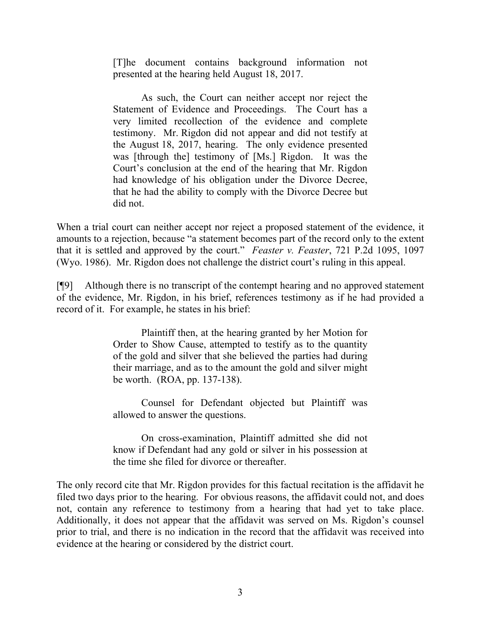[T]he document contains background information not presented at the hearing held August 18, 2017.

As such, the Court can neither accept nor reject the Statement of Evidence and Proceedings. The Court has a very limited recollection of the evidence and complete testimony. Mr. Rigdon did not appear and did not testify at the August 18, 2017, hearing. The only evidence presented was [through the] testimony of [Ms.] Rigdon. It was the Court's conclusion at the end of the hearing that Mr. Rigdon had knowledge of his obligation under the Divorce Decree, that he had the ability to comply with the Divorce Decree but did not.

When a trial court can neither accept nor reject a proposed statement of the evidence, it amounts to a rejection, because "a statement becomes part of the record only to the extent that it is settled and approved by the court." *Feaster v. Feaster*, 721 P.2d 1095, 1097 (Wyo. 1986). Mr. Rigdon does not challenge the district court's ruling in this appeal.

[¶9] Although there is no transcript of the contempt hearing and no approved statement of the evidence, Mr. Rigdon, in his brief, references testimony as if he had provided a record of it. For example, he states in his brief:

> Plaintiff then, at the hearing granted by her Motion for Order to Show Cause, attempted to testify as to the quantity of the gold and silver that she believed the parties had during their marriage, and as to the amount the gold and silver might be worth. (ROA, pp. 137-138).

> Counsel for Defendant objected but Plaintiff was allowed to answer the questions.

> On cross-examination, Plaintiff admitted she did not know if Defendant had any gold or silver in his possession at the time she filed for divorce or thereafter.

The only record cite that Mr. Rigdon provides for this factual recitation is the affidavit he filed two days prior to the hearing. For obvious reasons, the affidavit could not, and does not, contain any reference to testimony from a hearing that had yet to take place. Additionally, it does not appear that the affidavit was served on Ms. Rigdon's counsel prior to trial, and there is no indication in the record that the affidavit was received into evidence at the hearing or considered by the district court.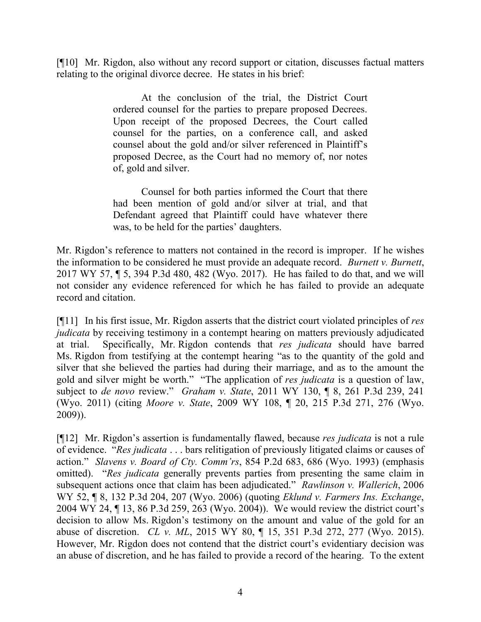[¶10] Mr. Rigdon, also without any record support or citation, discusses factual matters relating to the original divorce decree. He states in his brief:

> At the conclusion of the trial, the District Court ordered counsel for the parties to prepare proposed Decrees. Upon receipt of the proposed Decrees, the Court called counsel for the parties, on a conference call, and asked counsel about the gold and/or silver referenced in Plaintiff's proposed Decree, as the Court had no memory of, nor notes of, gold and silver.

> Counsel for both parties informed the Court that there had been mention of gold and/or silver at trial, and that Defendant agreed that Plaintiff could have whatever there was, to be held for the parties' daughters.

Mr. Rigdon's reference to matters not contained in the record is improper. If he wishes the information to be considered he must provide an adequate record. *Burnett v. Burnett*, 2017 WY 57, ¶ 5, 394 P.3d 480, 482 (Wyo. 2017). He has failed to do that, and we will not consider any evidence referenced for which he has failed to provide an adequate record and citation.

[¶11] In his first issue, Mr. Rigdon asserts that the district court violated principles of *res judicata* by receiving testimony in a contempt hearing on matters previously adjudicated at trial. Specifically, Mr. Rigdon contends that *res judicata* should have barred Ms. Rigdon from testifying at the contempt hearing "as to the quantity of the gold and silver that she believed the parties had during their marriage, and as to the amount the gold and silver might be worth." "The application of *res judicata* is a question of law, subject to *de novo* review." *Graham v. State*, 2011 WY 130, ¶ 8, 261 P.3d 239, 241 (Wyo. 2011) (citing *Moore v. State*, 2009 WY 108, ¶ 20, 215 P.3d 271, 276 (Wyo. 2009)).

[¶12] Mr. Rigdon's assertion is fundamentally flawed, because *res judicata* is not a rule of evidence. "*Res judicata* . . . bars relitigation of previously litigated claims or causes of action." *Slavens v. Board of Cty. Comm'rs*, 854 P.2d 683, 686 (Wyo. 1993) (emphasis omitted). "*Res judicata* generally prevents parties from presenting the same claim in subsequent actions once that claim has been adjudicated." *Rawlinson v. Wallerich*, 2006 WY 52, ¶ 8, 132 P.3d 204, 207 (Wyo. 2006) (quoting *Eklund v. Farmers Ins. Exchange*, 2004 WY 24, ¶ 13, 86 P.3d 259, 263 (Wyo. 2004)). We would review the district court's decision to allow Ms. Rigdon's testimony on the amount and value of the gold for an abuse of discretion. *CL v. ML*, 2015 WY 80, ¶ 15, 351 P.3d 272, 277 (Wyo. 2015). However, Mr. Rigdon does not contend that the district court's evidentiary decision was an abuse of discretion, and he has failed to provide a record of the hearing. To the extent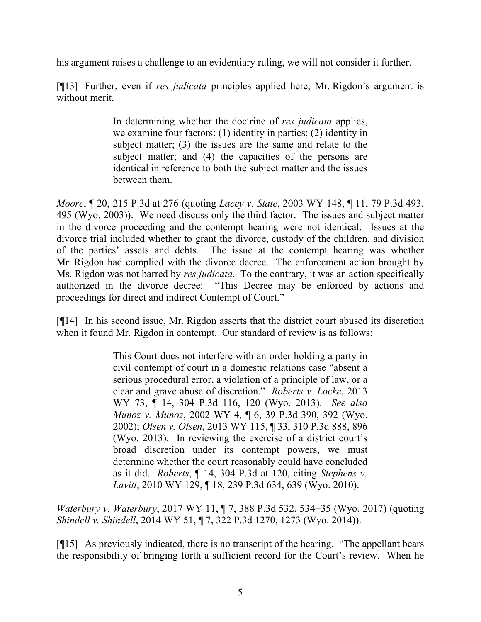his argument raises a challenge to an evidentiary ruling, we will not consider it further.

[¶13] Further, even if *res judicata* principles applied here, Mr. Rigdon's argument is without merit.

> In determining whether the doctrine of *res judicata* applies, we examine four factors: (1) identity in parties; (2) identity in subject matter; (3) the issues are the same and relate to the subject matter; and (4) the capacities of the persons are identical in reference to both the subject matter and the issues between them.

*Moore*, ¶ 20, 215 P.3d at 276 (quoting *Lacey v. State*, 2003 WY 148, ¶ 11, 79 P.3d 493, 495 (Wyo. 2003)). We need discuss only the third factor. The issues and subject matter in the divorce proceeding and the contempt hearing were not identical. Issues at the divorce trial included whether to grant the divorce, custody of the children, and division of the parties' assets and debts. The issue at the contempt hearing was whether Mr. Rigdon had complied with the divorce decree. The enforcement action brought by Ms. Rigdon was not barred by *res judicata*. To the contrary, it was an action specifically authorized in the divorce decree: "This Decree may be enforced by actions and proceedings for direct and indirect Contempt of Court."

[¶14] In his second issue, Mr. Rigdon asserts that the district court abused its discretion when it found Mr. Rigdon in contempt. Our standard of review is as follows:

> This Court does not interfere with an order holding a party in civil contempt of court in a domestic relations case "absent a serious procedural error, a violation of a principle of law, or a clear and grave abuse of discretion." *Roberts v. Locke*, 2013 WY 73, ¶ 14, 304 P.3d 116, 120 (Wyo. 2013). *See also Munoz v. Munoz*, 2002 WY 4, ¶ 6, 39 P.3d 390, 392 (Wyo. 2002); *Olsen v. Olsen*, 2013 WY 115, ¶ 33, 310 P.3d 888, 896 (Wyo. 2013). In reviewing the exercise of a district court's broad discretion under its contempt powers, we must determine whether the court reasonably could have concluded as it did. *Roberts*, ¶ 14, 304 P.3d at 120, citing *Stephens v. Lavitt*, 2010 WY 129, ¶ 18, 239 P.3d 634, 639 (Wyo. 2010).

*Waterbury v. Waterbury*, 2017 WY 11, ¶ 7, 388 P.3d 532, 534−35 (Wyo. 2017) (quoting *Shindell v. Shindell*, 2014 WY 51, ¶ 7, 322 P.3d 1270, 1273 (Wyo. 2014)).

[¶15] As previously indicated, there is no transcript of the hearing. "The appellant bears the responsibility of bringing forth a sufficient record for the Court's review. When he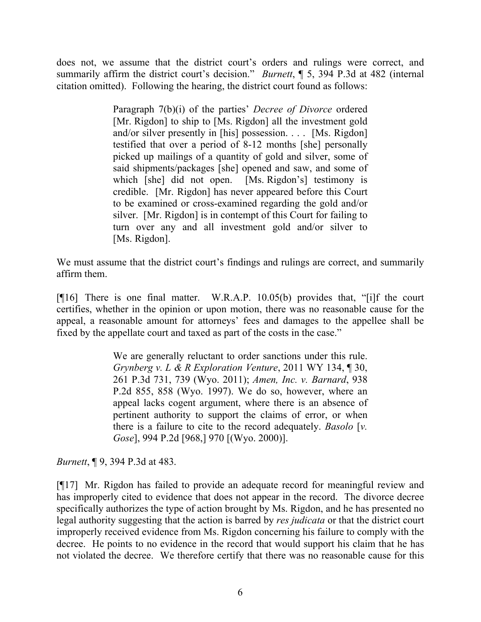does not, we assume that the district court's orders and rulings were correct, and summarily affirm the district court's decision." *Burnett*, ¶ 5, 394 P.3d at 482 (internal citation omitted). Following the hearing, the district court found as follows:

> Paragraph 7(b)(i) of the parties' *Decree of Divorce* ordered [Mr. Rigdon] to ship to [Ms. Rigdon] all the investment gold and/or silver presently in [his] possession. . . . [Ms. Rigdon] testified that over a period of 8-12 months [she] personally picked up mailings of a quantity of gold and silver, some of said shipments/packages [she] opened and saw, and some of which [she] did not open. [Ms. Rigdon's] testimony is credible. [Mr. Rigdon] has never appeared before this Court to be examined or cross-examined regarding the gold and/or silver. [Mr. Rigdon] is in contempt of this Court for failing to turn over any and all investment gold and/or silver to [Ms. Rigdon].

We must assume that the district court's findings and rulings are correct, and summarily affirm them.

[¶16] There is one final matter. W.R.A.P. 10.05(b) provides that, "[i]f the court certifies, whether in the opinion or upon motion, there was no reasonable cause for the appeal, a reasonable amount for attorneys' fees and damages to the appellee shall be fixed by the appellate court and taxed as part of the costs in the case."

> We are generally reluctant to order sanctions under this rule. *Grynberg v. L & R Exploration Venture*, 2011 WY 134, ¶ 30, 261 P.3d 731, 739 (Wyo. 2011); *Amen, Inc. v. Barnard*, 938 P.2d 855, 858 (Wyo. 1997). We do so, however, where an appeal lacks cogent argument, where there is an absence of pertinent authority to support the claims of error, or when there is a failure to cite to the record adequately. *Basolo* [*v. Gose*], 994 P.2d [968,] 970 [(Wyo. 2000)].

*Burnett*, ¶ 9, 394 P.3d at 483.

[¶17] Mr. Rigdon has failed to provide an adequate record for meaningful review and has improperly cited to evidence that does not appear in the record. The divorce decree specifically authorizes the type of action brought by Ms. Rigdon, and he has presented no legal authority suggesting that the action is barred by *res judicata* or that the district court improperly received evidence from Ms. Rigdon concerning his failure to comply with the decree. He points to no evidence in the record that would support his claim that he has not violated the decree. We therefore certify that there was no reasonable cause for this